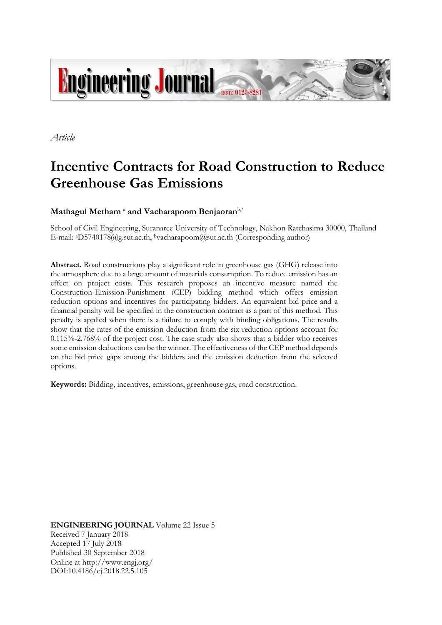

*Article*

# **Incentive Contracts for Road Construction to Reduce Greenhouse Gas Emissions**

# $\mathbf M$ athagul  $\mathbf M$ etham  $^\mathrm a$  and  $\mathbf V$ acharapoom  $\mathbf B$ enjaoran $^\mathrm{b,*}$

School of Civil Engineering, Suranaree University of Technology, Nakhon Ratchasima 30000, Thailand E-mail: aD5740178@g.sut.ac.th, <sup>b</sup>vacharapoom@sut.ac.th (Corresponding author)

**Abstract.** Road constructions play a significant role in greenhouse gas (GHG) release into the atmosphere due to a large amount of materials consumption. To reduce emission has an effect on project costs. This research proposes an incentive measure named the Construction-Emission-Punishment (CEP) bidding method which offers emission reduction options and incentives for participating bidders. An equivalent bid price and a financial penalty will be specified in the construction contract as a part of this method. This penalty is applied when there is a failure to comply with binding obligations. The results show that the rates of the emission deduction from the six reduction options account for  $0.115\% - 2.768\%$  of the project cost. The case study also shows that a bidder who receives some emission deductions can be the winner. The effectiveness of the CEP method depends on the bid price gaps among the bidders and the emission deduction from the selected options.

**Keywords:** Bidding, incentives, emissions, greenhouse gas, road construction.

**ENGINEERING JOURNAL** Volume 22 Issue 5 Received 7 January 2018 Accepted 17 July 2018 Published 30 September 2018 Online at http://www.engj.org/ DOI:10.4186/ej.2018.22.5.105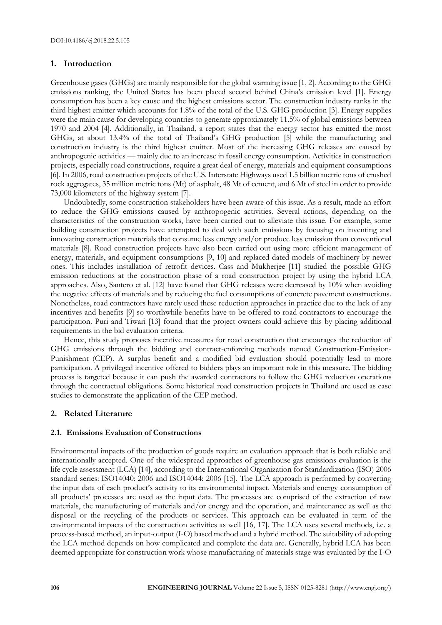## **1. Introduction**

Greenhouse gases (GHGs) are mainly responsible for the global warming issue [1, 2]. According to the GHG emissions ranking, the United States has been placed second behind China's emission level [1]. Energy consumption has been a key cause and the highest emissions sector. The construction industry ranks in the third highest emitter which accounts for 1.8% of the total of the U.S. GHG production [3]. Energy supplies were the main cause for developing countries to generate approximately 11.5% of global emissions between 1970 and 2004 [4]. Additionally, in Thailand, a report states that the energy sector has emitted the most GHGs, at about 13.4% of the total of Thailand's GHG production [5] while the manufacturing and construction industry is the third highest emitter. Most of the increasing GHG releases are caused by anthropogenic activities — mainly due to an increase in fossil energy consumption. Activities in construction projects, especially road constructions, require a great deal of energy, materials and equipment consumptions [6]. In 2006, road construction projects of the U.S. Interstate Highways used 1.5 billion metric tons of crushed rock aggregates, 35 million metric tons (Mt) of asphalt, 48 Mt of cement, and 6 Mt of steel in order to provide 73,000 kilometers of the highway system [7].

Undoubtedly, some construction stakeholders have been aware of this issue. As a result, made an effort to reduce the GHG emissions caused by anthropogenic activities. Several actions, depending on the characteristics of the construction works, have been carried out to alleviate this issue. For example, some building construction projects have attempted to deal with such emissions by focusing on inventing and innovating construction materials that consume less energy and/or produce less emission than conventional materials [8]. Road construction projects have also been carried out using more efficient management of energy, materials, and equipment consumptions [9, 10] and replaced dated models of machinery by newer ones. This includes installation of retrofit devices. Cass and Mukherjee [11] studied the possible GHG emission reductions at the construction phase of a road construction project by using the hybrid LCA approaches. Also, Santero et al. [12] have found that GHG releases were decreased by 10% when avoiding the negative effects of materials and by reducing the fuel consumptions of concrete pavement constructions. Nonetheless, road contractors have rarely used these reduction approaches in practice due to the lack of any incentives and benefits [9] so worthwhile benefits have to be offered to road contractors to encourage the participation. Puri and Tiwari [13] found that the project owners could achieve this by placing additional requirements in the bid evaluation criteria.

Hence, this study proposes incentive measures for road construction that encourages the reduction of GHG emissions through the bidding and contract-enforcing methods named Construction-Emission-Punishment (CEP). A surplus benefit and a modified bid evaluation should potentially lead to more participation. A privileged incentive offered to bidders plays an important role in this measure. The bidding process is targeted because it can push the awarded contractors to follow the GHG reduction operations through the contractual obligations. Some historical road construction projects in Thailand are used as case studies to demonstrate the application of the CEP method.

## **2. Related Literature**

## **2.1. Emissions Evaluation of Constructions**

Environmental impacts of the production of goods require an evaluation approach that is both reliable and internationally accepted. One of the widespread approaches of greenhouse gas emissions evaluation is the life cycle assessment (LCA) [14], according to the International Organization for Standardization (ISO) 2006 standard series: ISO14040: 2006 and ISO14044: 2006 [15]. The LCA approach is performed by converting the input data of each product's activity to its environmental impact. Materials and energy consumption of all products' processes are used as the input data. The processes are comprised of the extraction of raw materials, the manufacturing of materials and/or energy and the operation, and maintenance as well as the disposal or the recycling of the products or services. This approach can be evaluated in term of the environmental impacts of the construction activities as well [16, 17]. The LCA uses several methods, i.e. a process-based method, an input-output (I-O) based method and a hybrid method. The suitability of adopting the LCA method depends on how complicated and complete the data are. Generally, hybrid LCA has been deemed appropriate for construction work whose manufacturing of materials stage was evaluated by the I-O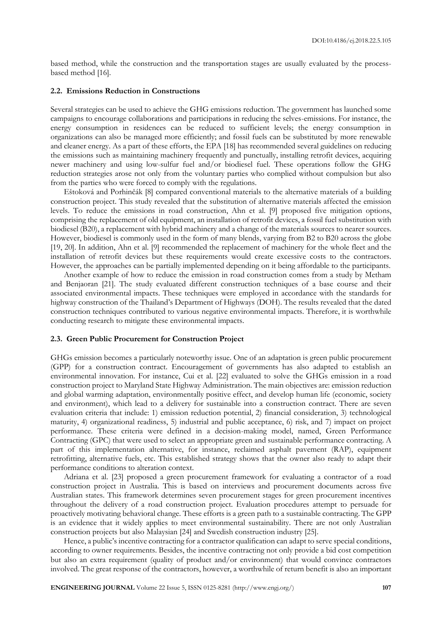based method, while the construction and the transportation stages are usually evaluated by the processbased method [16].

#### **2.2. Emissions Reduction in Constructions**

Several strategies can be used to achieve the GHG emissions reduction. The government has launched some campaigns to encourage collaborations and participations in reducing the selves-emissions. For instance, the energy consumption in residences can be reduced to sufficient levels; the energy consumption in organizations can also be managed more efficiently; and fossil fuels can be substituted by more renewable and cleaner energy. As a part of these efforts, the EPA [18] has recommended several guidelines on reducing the emissions such as maintaining machinery frequently and punctually, installing retrofit devices, acquiring newer machinery and using low-sulfur fuel and/or biodiesel fuel. These operations follow the GHG reduction strategies arose not only from the voluntary parties who complied without compulsion but also from the parties who were forced to comply with the regulations.

Eštoková and Porhinčák [8] compared conventional materials to the alternative materials of a building construction project. This study revealed that the substitution of alternative materials affected the emission levels. To reduce the emissions in road construction, Ahn et al. [9] proposed five mitigation options, comprising the replacement of old equipment, an installation of retrofit devices, a fossil fuel substitution with biodiesel (B20), a replacement with hybrid machinery and a change of the materials sources to nearer sources. However, biodiesel is commonly used in the form of many blends, varying from B2 to B20 across the globe [19, 20]. In addition, Ahn et al. [9] recommended the replacement of machinery for the whole fleet and the installation of retrofit devices but these requirements would create excessive costs to the contractors. However, the approaches can be partially implemented depending on it being affordable to the participants.

Another example of how to reduce the emission in road construction comes from a study by Metham and Benjaoran [21]. The study evaluated different construction techniques of a base course and their associated environmental impacts. These techniques were employed in accordance with the standards for highway construction of the Thailand's Department of Highways (DOH). The results revealed that the dated construction techniques contributed to various negative environmental impacts. Therefore, it is worthwhile conducting research to mitigate these environmental impacts.

#### **2.3. Green Public Procurement for Construction Project**

GHGs emission becomes a particularly noteworthy issue. One of an adaptation is green public procurement (GPP) for a construction contract. Encouragement of governments has also adapted to establish an environmental innovation. For instance, Cui et al. [22] evaluated to solve the GHGs emission in a road construction project to Maryland State Highway Administration. The main objectives are: emission reduction and global warming adaptation, environmentally positive effect, and develop human life (economic, society and environment), which lead to a delivery for sustainable into a construction contract. There are seven evaluation criteria that include: 1) emission reduction potential, 2) financial consideration, 3) technological maturity, 4) organizational readiness, 5) industrial and public acceptance, 6) risk, and 7) impact on project performance. These criteria were defined in a decision-making model, named, Green Performance Contracting (GPC) that were used to select an appropriate green and sustainable performance contracting. A part of this implementation alternative, for instance, reclaimed asphalt pavement (RAP), equipment retrofitting, alternative fuels, etc. This established strategy shows that the owner also ready to adapt their performance conditions to alteration context.

Adriana et al. [23] proposed a green procurement framework for evaluating a contractor of a road construction project in Australia. This is based on interviews and procurement documents across five Australian states. This framework determines seven procurement stages for green procurement incentives throughout the delivery of a road construction project. Evaluation procedures attempt to persuade for proactively motivating behavioral change. These efforts is a green path to a sustainable contracting. The GPP is an evidence that it widely applies to meet environmental sustainability. There are not only Australian construction projects but also Malaysian [24] and Swedish construction industry [25].

Hence, a public's incentive contracting for a contractor qualification can adapt to serve special conditions, according to owner requirements. Besides, the incentive contracting not only provide a bid cost competition but also an extra requirement (quality of product and/or environment) that would convince contractors involved. The great response of the contractors, however, a worthwhile of return benefit is also an important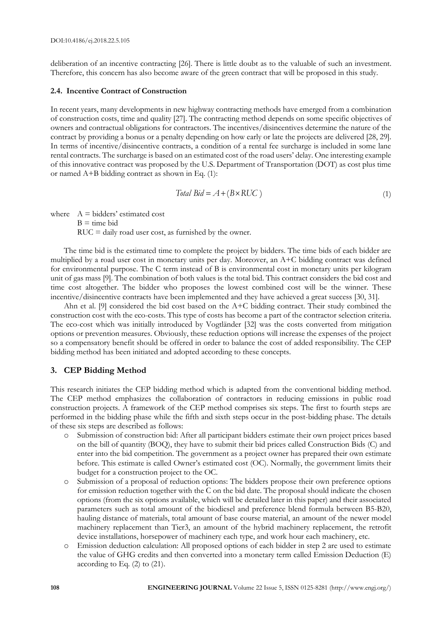deliberation of an incentive contracting [26]. There is little doubt as to the valuable of such an investment. Therefore, this concern has also become aware of the green contract that will be proposed in this study.

#### **2.4. Incentive Contract of Construction**

In recent years, many developments in new highway contracting methods have emerged from a combination of construction costs, time and quality [27]. The contracting method depends on some specific objectives of owners and contractual obligations for contractors. The incentives/disincentives determine the nature of the contract by providing a bonus or a penalty depending on how early or late the projects are delivered [28, 29]. In terms of incentive/disincentive contracts, a condition of a rental fee surcharge is included in some lane rental contracts. The surcharge is based on an estimated cost of the road users' delay. One interesting example of this innovative contract was proposed by the U.S. Department of Transportation (DOT) as cost plus time or named A+B bidding contract as shown in Eq. (1):

$$
Total Bid = A + (B \times RUC)
$$
\n<sup>(1)</sup>

where  $A = \text{bidders' estimated cost}$  $B =$  time bid

 $RUC =$  daily road user cost, as furnished by the owner.

The time bid is the estimated time to complete the project by bidders. The time bids of each bidder are multiplied by a road user cost in monetary units per day. Moreover, an A+C bidding contract was defined for environmental purpose. The C term instead of B is environmental cost in monetary units per kilogram unit of gas mass [9]. The combination of both values is the total bid. This contract considers the bid cost and time cost altogether. The bidder who proposes the lowest combined cost will be the winner. These incentive/disincentive contracts have been implemented and they have achieved a great success [30, 31].

Ahn et al. [9] considered the bid cost based on the A+C bidding contract. Their study combined the construction cost with the eco-costs. This type of costs has become a part of the contractor selection criteria. The eco-cost which was initially introduced by Vogtländer [32] was the costs converted from mitigation options or prevention measures. Obviously, these reduction options will increase the expenses of the project so a compensatory benefit should be offered in order to balance the cost of added responsibility. The CEP bidding method has been initiated and adopted according to these concepts.

## **3. CEP Bidding Method**

This research initiates the CEP bidding method which is adapted from the conventional bidding method. The CEP method emphasizes the collaboration of contractors in reducing emissions in public road construction projects. A framework of the CEP method comprises six steps. The first to fourth steps are performed in the bidding phase while the fifth and sixth steps occur in the post-bidding phase. The details of these six steps are described as follows:

- o Submission of construction bid: After all participant bidders estimate their own project prices based on the bill of quantity (BOQ), they have to submit their bid prices called Construction Bids (C) and enter into the bid competition. The government as a project owner has prepared their own estimate before. This estimate is called Owner's estimated cost (OC). Normally, the government limits their budget for a construction project to the OC.
- o Submission of a proposal of reduction options: The bidders propose their own preference options for emission reduction together with the C on the bid date. The proposal should indicate the chosen options (from the six options available, which will be detailed later in this paper) and their associated parameters such as total amount of the biodiesel and preference blend formula between B5-B20, hauling distance of materials, total amount of base course material, an amount of the newer model machinery replacement than Tier3, an amount of the hybrid machinery replacement, the retrofit device installations, horsepower of machinery each type, and work hour each machinery, etc.
- o Emission deduction calculation: All proposed options of each bidder in step 2 are used to estimate the value of GHG credits and then converted into a monetary term called Emission Deduction (E) according to Eq. (2) to (21).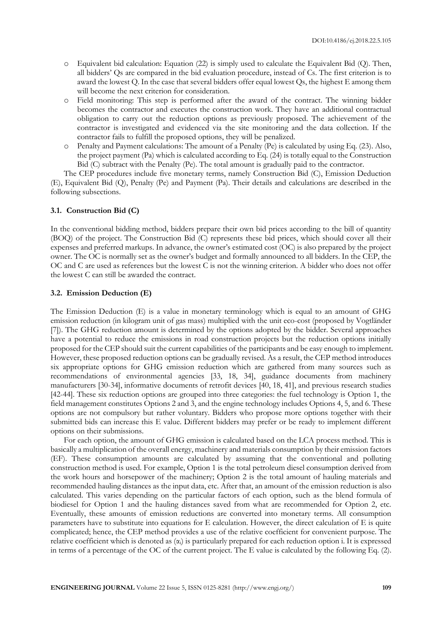- o Equivalent bid calculation: Equation (22) is simply used to calculate the Equivalent Bid (Q). Then, all bidders' Qs are compared in the bid evaluation procedure, instead of Cs. The first criterion is to award the lowest Q. In the case that several bidders offer equal lowest Qs, the highest E among them will become the next criterion for consideration.
- o Field monitoring: This step is performed after the award of the contract. The winning bidder becomes the contractor and executes the construction work. They have an additional contractual obligation to carry out the reduction options as previously proposed. The achievement of the contractor is investigated and evidenced via the site monitoring and the data collection. If the contractor fails to fulfill the proposed options, they will be penalized.
- o Penalty and Payment calculations: The amount of a Penalty (Pe) is calculated by using Eq. (23). Also, the project payment (Pa) which is calculated according to Eq. (24) is totally equal to the Construction Bid (C) subtract with the Penalty (Pe). The total amount is gradually paid to the contractor.

The CEP procedures include five monetary terms, namely Construction Bid (C), Emission Deduction (E), Equivalent Bid (Q), Penalty (Pe) and Payment (Pa). Their details and calculations are described in the following subsections.

### **3.1. Construction Bid (C)**

In the conventional bidding method, bidders prepare their own bid prices according to the bill of quantity (BOQ) of the project. The Construction Bid (C) represents these bid prices, which should cover all their expenses and preferred markups. In advance, the owner's estimated cost (OC) is also prepared by the project owner. The OC is normally set as the owner's budget and formally announced to all bidders. In the CEP, the OC and C are used as references but the lowest C is not the winning criterion. A bidder who does not offer the lowest C can still be awarded the contract.

#### **3.2. Emission Deduction (E)**

The Emission Deduction (E) is a value in monetary terminology which is equal to an amount of GHG emission reduction (in kilogram unit of gas mass) multiplied with the unit eco-cost (proposed by Vogtländer [7]). The GHG reduction amount is determined by the options adopted by the bidder. Several approaches have a potential to reduce the emissions in road construction projects but the reduction options initially proposed for the CEP should suit the current capabilities of the participants and be easy enough to implement. However, these proposed reduction options can be gradually revised. As a result, the CEP method introduces six appropriate options for GHG emission reduction which are gathered from many sources such as recommendations of environmental agencies [33, 18, 34], guidance documents from machinery manufacturers [30-34], informative documents of retrofit devices [40, 18, 41], and previous research studies [42-44]. These six reduction options are grouped into three categories: the fuel technology is Option 1, the field management constitutes Options 2 and 3, and the engine technology includes Options 4, 5, and 6. These options are not compulsory but rather voluntary. Bidders who propose more options together with their submitted bids can increase this E value. Different bidders may prefer or be ready to implement different options on their submissions.

For each option, the amount of GHG emission is calculated based on the LCA process method. This is basically a multiplication of the overall energy, machinery and materials consumption by their emission factors (EF). These consumption amounts are calculated by assuming that the conventional and polluting construction method is used. For example, Option 1 is the total petroleum diesel consumption derived from the work hours and horsepower of the machinery; Option 2 is the total amount of hauling materials and recommended hauling distances as the input data, etc. After that, an amount of the emission reduction is also calculated. This varies depending on the particular factors of each option, such as the blend formula of biodiesel for Option 1 and the hauling distances saved from what are recommended for Option 2, etc. Eventually, these amounts of emission reductions are converted into monetary terms. All consumption parameters have to substitute into equations for E calculation. However, the direct calculation of E is quite complicated; hence, the CEP method provides a use of the relative coefficient for convenient purpose. The relative coefficient which is denoted as  $(\alpha_i)$  is particularly prepared for each reduction option i. It is expressed in terms of a percentage of the OC of the current project. The E value is calculated by the following Eq. (2).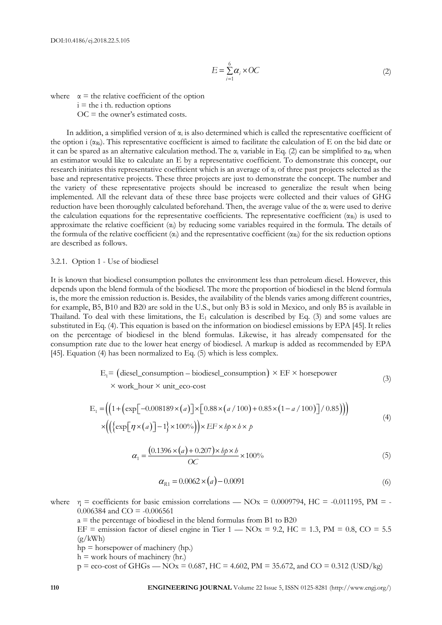$$
E = \sum_{i=1}^{6} \alpha_i \times OC \tag{2}
$$

where  $\alpha$  = the relative coefficient of the option

 $i =$  the i th. reduction options  $OC =$  the owner's estimated costs.

In addition, a simplified version of  $\alpha_i$  is also determined which is called the representative coefficient of the option i  $(\alpha_{\text{Ri}})$ . This representative coefficient is aimed to facilitate the calculation of E on the bid date or it can be spared as an alternative calculation method. The  $\alpha_i$  variable in Eq. (2) can be simplified to  $\alpha_{\rm Ri}$  when an estimator would like to calculate an E by a representative coefficient. To demonstrate this concept, our research initiates this representative coefficient which is an average of  $\alpha_i$  of three past projects selected as the base and representative projects. These three projects are just to demonstrate the concept. The number and the variety of these representative projects should be increased to generalize the result when being implemented. All the relevant data of these three base projects were collected and their values of GHG reduction have been thoroughly calculated beforehand. Then, the average value of the  $\alpha_i$  were used to derive the calculation equations for the representative coefficients. The representative coefficient  $(\alpha_{\text{Ri}})$  is used to approximate the relative coefficient  $(\alpha_i)$  by reducing some variables required in the formula. The details of the formula of the relative coefficient  $(\alpha_i)$  and the representative coefficient  $(\alpha_{\rm Ri})$  for the six reduction options are described as follows.

#### 3.2.1. Option 1 - Use of biodiesel

It is known that biodiesel consumption pollutes the environment less than petroleum diesel. However, this depends upon the blend formula of the biodiesel. The more the proportion of biodiesel in the blend formula is, the more the emission reduction is. Besides, the availability of the blends varies among different countries, for example, B5, B10 and B20 are sold in the U.S., but only B3 is sold in Mexico, and only B5 is available in Thailand. To deal with these limitations, the  $E_1$  calculation is described by Eq. (3) and some values are substituted in Eq. (4). This equation is based on the information on biodiesel emissions by EPA [45]. It relies on the percentage of biodiesel in the blend formulas. Likewise, it has already compensated for the consumption rate due to the lower heat energy of biodiesel. A markup is added as recommended by EPA

[45]. Equation (4) has been normalized to Eq. (5) which is less complex.  
\n
$$
E_1 = (\text{diesel\_consumption} - \text{biodiesel\_consumption}) \times EF \times \text{horsepower} \times \text{work\_hour} \times \text{unit\_eco-cost}
$$
\n(3)

$$
\times \text{ work\_hour} \times \text{unit\_eco-cost}
$$
\n
$$
E_1 = \left( \left( 1 + \left( \exp\left[ -0.008189 \times (a) \right] \times \left[ 0.88 \times (a/100) + 0.85 \times (1 - a/100) \right] / 0.85 \right) \right) \right)
$$
\n
$$
\times \left( \left( \left\{ \exp\left[ \eta \times (a) \right] - 1 \right\} \times 100\% \right) \right) \times EF \times bp \times b \times p \tag{4}
$$

$$
\alpha_1 = \frac{(0.1396 \times (a) + 0.207) \times bp \times b}{OC} \times 100\%
$$
 (5)

$$
\alpha_{R1} = 0.0062 \times (a) - 0.0091\tag{6}
$$

where  $\eta$  = coefficients for basic emission correlations — NOx = 0.0009794, HC = -0.011195, PM = -0.006384 and  $CO = -0.006561$ 

 $a =$  the percentage of biodiesel in the blend formulas from B1 to B20

EF = emission factor of diesel engine in Tier  $1 - NOx = 9.2$ ,  $HC = 1.3$ ,  $PM = 0.8$ ,  $CO = 5.5$  $(g/kWh)$ 

hp = horsepower of machinery (hp.)

 $h =$  work hours of machinery (hr.)

$$
p =
$$
eco-cost of GHGs — NOx = 0.687, HC = 4.602, PM = 35.672, and CO = 0.312 (USD/kg)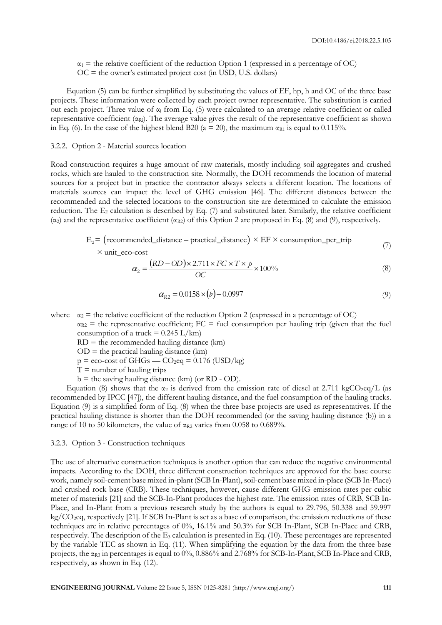$\alpha_1$  = the relative coefficient of the reduction Option 1 (expressed in a percentage of OC)  $OC =$  the owner's estimated project cost (in USD, U.S. dollars)

Equation (5) can be further simplified by substituting the values of EF, hp, h and OC of the three base projects. These information were collected by each project owner representative. The substitution is carried out each project. Three value of  $\alpha_i$  from Eq. (5) were calculated to an average relative coefficient or called representative coefficient  $(\alpha_{\text{Ri}})$ . The average value gives the result of the representative coefficient as shown in Eq. (6). In the case of the highest blend B20 ( $a = 20$ ), the maximum  $\alpha_{R1}$  is equal to 0.115%.

#### 3.2.2. Option 2 - Material sources location

Road construction requires a huge amount of raw materials, mostly including soil aggregates and crushed rocks, which are hauled to the construction site. Normally, the DOH recommends the location of material sources for a project but in practice the contractor always selects a different location. The locations of materials sources can impact the level of GHG emission [46]. The different distances between the recommended and the selected locations to the construction site are determined to calculate the emission reduction. The  $E_2$  calculation is described by Eq. (7) and substituted later. Similarly, the relative coefficient (α<sub>2</sub>) and the representative coefficient (α<sub>R2</sub>) of this Option 2 are proposed in Eq. (8) and (9), respectively.

$$
E_2 = (reconnected\_distance - practical\_distance) \times EF \times consumption\_per\_trip
$$
 (7)

$$
\times
$$
 unit\_eco-cost

$$
\alpha_2 = \frac{(RD - OD) \times 2.711 \times FC \times T \times p}{OC} \times 100\%
$$
\n(8)

$$
\alpha_{R2} = 0.0158 \times (b) - 0.0997\tag{9}
$$

where  $\alpha_2$  = the relative coefficient of the reduction Option 2 (expressed in a percentage of OC)

 $\alpha_{R2}$  = the representative coefficient; FC = fuel consumption per hauling trip (given that the fuel consumption of a truck =  $0.245$  L/km)

 $RD =$  the recommended hauling distance  $(km)$ 

 $OD =$  the practical hauling distance (km)

 $p = e$ co-cost of GHGs — CO<sub>2</sub>eq = 0.176 (USD/kg)

 $T =$  number of hauling trips

 $b =$  the saving hauling distance (km) (or RD - OD).

Equation (8) shows that the  $\alpha_2$  is derived from the emission rate of diesel at 2.711 kgCO<sub>2</sub>eq/L (as recommended by IPCC [47]), the different hauling distance, and the fuel consumption of the hauling trucks. Equation (9) is a simplified form of Eq. (8) when the three base projects are used as representatives. If the practical hauling distance is shorter than the DOH recommended (or the saving hauling distance (b)) in a range of 10 to 50 kilometers, the value of  $\alpha_{R2}$  varies from 0.058 to 0.689%.

#### 3.2.3. Option 3 - Construction techniques

The use of alternative construction techniques is another option that can reduce the negative environmental impacts. According to the DOH, three different construction techniques are approved for the base course work, namely soil-cement base mixed in-plant (SCB In-Plant), soil-cement base mixed in-place (SCB In-Place) and crushed rock base (CRB). These techniques, however, cause different GHG emission rates per cubic meter of materials [21] and the SCB-In-Plant produces the highest rate. The emission rates of CRB, SCB In-Place, and In-Plant from a previous research study by the authors is equal to 29.796, 50.338 and 59.997 kg/CO2eq, respectively [21]. If SCB In-Plant is set as a base of comparison, the emission reductions of these techniques are in relative percentages of 0%, 16.1% and 50.3% for SCB In-Plant, SCB In-Place and CRB, respectively. The description of the  $E_3$  calculation is presented in Eq. (10). These percentages are represented by the variable TEC as shown in Eq. (11). When simplifying the equation by the data from the three base projects, the  $\alpha_{R3}$  in percentages is equal to 0%, 0.886% and 2.768% for SCB-In-Plant, SCB In-Place and CRB, respectively, as shown in Eq. (12).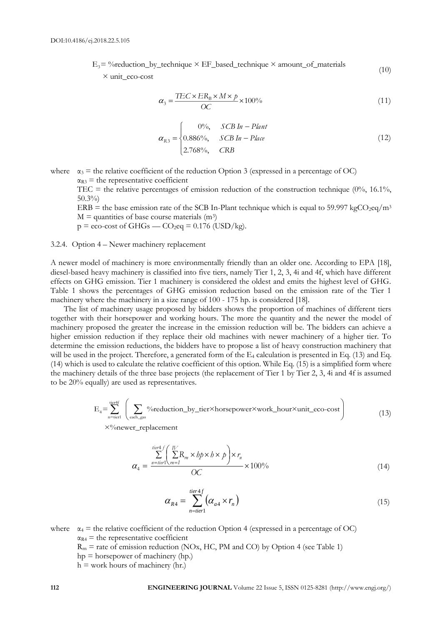$E_3$  = % reduction\_by\_technique  $\times$  EF\_based\_technique  $\times$  amount\_of\_materials (10)

× unit\_eco-cost

$$
\alpha_3 = \frac{TEC \times ER_B \times M \times p}{OC} \times 100\%
$$
\n(11)

$$
\alpha_{R3} = \begin{cases}\n0\%, & SCB \text{ } In-Plant \\
0.886\%, & SCB \text{ } In- Place \\
2.768\%, & CRB\n\end{cases}
$$
\n(12)

where  $\alpha_3$  = the relative coefficient of the reduction Option 3 (expressed in a percentage of OC)  $\alpha_{R3}$  = the representative coefficient

TEC = the relative percentages of emission reduction of the construction technique  $(0\%$ , 16.1%, 50.3%)

ERB = the base emission rate of the SCB In-Plant technique which is equal to 59.997 kgCO<sub>2</sub>eq/m<sup>3</sup>  $M =$  quantities of base course materials (m<sup>3</sup>)

 $p = e$ co-cost of GHGs — CO<sub>2</sub>eq = 0.176 (USD/kg).

3.2.4. Option 4 – Newer machinery replacement

A newer model of machinery is more environmentally friendly than an older one. According to EPA [18], diesel-based heavy machinery is classified into five tiers, namely Tier 1, 2, 3, 4i and 4f, which have different effects on GHG emission. Tier 1 machinery is considered the oldest and emits the highest level of GHG. Table 1 shows the percentages of GHG emission reduction based on the emission rate of the Tier 1 machinery where the machinery in a size range of 100 - 175 hp. is considered [18].

**11**,  $\frac{1}{2}$  **ENGINEERING JOURNAL CONSULTS AND CONSULTS AND CONSULTS (EQS) (12)**  $\alpha_1 = \frac{12(2 \times 10^4 \text{m/s} \cdot \text{s} \cdot \text{s}^2}{2 \times 10^6 \text{m}}$  **(2)**  $\alpha_2 = \frac{1}{2}$  (2)  $\frac{36(2 \times 10^4 \text{m/s} \cdot \text{s}^2 \cdot \text{s}^2}{2 \times 10^6 \text{m}}$ ,  $\frac{$ The list of machinery usage proposed by bidders shows the proportion of machines of different tiers together with their horsepower and working hours. The more the quantity and the newer the model of machinery proposed the greater the increase in the emission reduction will be. The bidders can achieve a higher emission reduction if they replace their old machines with newer machinery of a higher tier. To determine the emission reductions, the bidders have to propose a list of heavy construction machinery that will be used in the project. Therefore, a generated form of the E<sub>4</sub> calculation is presented in Eq. (13) and Eq. (14) which is used to calculate the relative coefficient of this option. While Eq. (15) is a simplified form where the machinery details of the three base projects (the replacement of Tier 1 by Tier 2, 3, 4i and 4f is assumed to be 20% equally) are used as representatives.

$$
E_4 = \sum_{n=\text{iter1}}^{\text{iter4f}} \left( \sum_{\text{each\_gas}} \text{%reduction\_by\_tier} \times \text{horsepower} \times \text{work\_hour} \times \text{unit\_eco-cost} \right)
$$
 (13)

×%newer\_replacement

$$
\alpha_4 = \frac{\sum_{n=1}^{\text{tier4}} \left( \sum_{m=1}^{\text{IV}} \mathbf{R}_m \times \text{bp} \times \text{b} \times \text{p} \right) \times r_n}{OC} \times 100\%
$$
(14)

$$
\alpha_{R4} = \sum_{n=iter1}^{iter4f} (\alpha_{a4} \times r_n)
$$
\n(15)

where  $\alpha_4$  = the relative coefficient of the reduction Option 4 (expressed in a percentage of OC)  $\alpha_{\text{R4}}$  = the representative coefficient  $R_m$  = rate of emission reduction (NOx, HC, PM and CO) by Option 4 (see Table 1) hp = horsepower of machinery (hp.)  $h =$  work hours of machinery (hr.)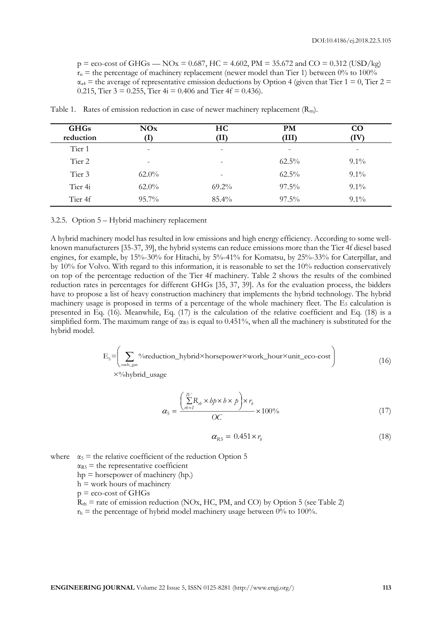$p =$  eco-cost of GHGs — NOx = 0.687, HC = 4.602, PM = 35.672 and CO = 0.312 (USD/kg)  $r_n$  = the percentage of machinery replacement (newer model than Tier 1) between 0% to 100%  $\alpha_{a4}$  = the average of representative emission deductions by Option 4 (given that Tier 1 = 0, Tier 2 = 0.215, Tier  $3 = 0.255$ , Tier  $4i = 0.406$  and Tier  $4f = 0.436$ .

| <b>GHGs</b><br>reduction | NOx             | HC<br>TI)                | <b>PM</b><br>(III)       | CO<br>(IV |
|--------------------------|-----------------|--------------------------|--------------------------|-----------|
| Tier 1                   | $\qquad \qquad$ | $\overline{\phantom{0}}$ | $\overline{\phantom{a}}$ | -         |
| Tier <sub>2</sub>        | $\qquad \qquad$ | $\overline{\phantom{0}}$ | $62.5\%$                 | $9.1\%$   |
| Tier 3                   | $62.0\%$        | $\overline{\phantom{0}}$ | $62.5\%$                 | $9.1\%$   |
| Tier <sub>4i</sub>       | $62.0\%$        | $69.2\%$                 | $97.5\%$                 | $9.1\%$   |
| Tier <sub>4f</sub>       | $95.7\%$        | $85.4\%$                 | $97.5\%$                 | $9.1\%$   |

Table 1. Rates of emission reduction in case of newer machinery replacement  $(R_m)$ .

3.2.5. Option 5 – Hybrid machinery replacement

A hybrid machinery model has resulted in low emissions and high energy efficiency. According to some wellknown manufacturers [35-37, 39], the hybrid systems can reduce emissions more than the Tier 4f diesel based engines, for example, by 15%-30% for Hitachi, by 5%-41% for Komatsu, by 25%-33% for Caterpillar, and by 10% for Volvo. With regard to this information, it is reasonable to set the 10% reduction conservatively on top of the percentage reduction of the Tier 4f machinery. Table 2 shows the results of the combined reduction rates in percentages for different GHGs [35, 37, 39]. As for the evaluation process, the bidders have to propose a list of heavy construction machinery that implements the hybrid technology. The hybrid machinery usage is proposed in terms of a percentage of the whole machinery fleet. The E<sup>5</sup> calculation is presented in Eq. (16). Meanwhile, Eq. (17) is the calculation of the relative coefficient and Eq. (18) is a simplified form. The maximum range of  $\alpha_{RS}$  is equal to 0.451%, when all the machinery is substituted for the hybrid model.

$$
E_5 = \left(\sum_{\text{each\_gas}} \% \text{reduction\_hybrid} \times \text{horsepower} \times \text{work\_hour} \times \text{unit\_eco-cost}\right) \tag{16}
$$
\n
$$
\times \% \text{hybrid usage}
$$

$$
\left(\sum_{k=1}^{N} R_{nk} \times bp \times b \times p\right) \times r_h
$$

$$
\alpha_{5} = \frac{\left(\sum_{m=1}^{R} R_{m} \times bp \times b \times p\right) \times r_{b}}{OC} \times 100\% \tag{17}
$$

$$
\alpha_{R5} = 0.451 \times r_b \tag{18}
$$

where  $\alpha_5$  = the relative coefficient of the reduction Option 5

- $\alpha_{R5}$  = the representative coefficient
- hp = horsepower of machinery (hp.)
- $h$  = work hours of machinery
- $p =$  eco-cost of GHGs
- $R_{rh}$  = rate of emission reduction (NOx, HC, PM, and CO) by Option 5 (see Table 2)

 $r_h$  = the percentage of hybrid model machinery usage between 0% to 100%.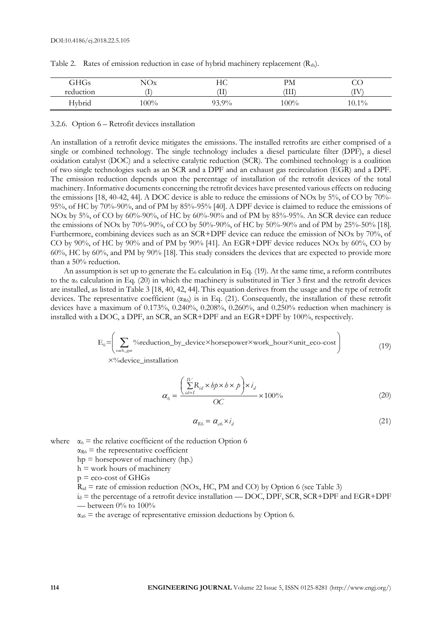| GHGs      | NOx      | TC<br>ПU | PМ   | UU       |
|-----------|----------|----------|------|----------|
| reduction | <b>.</b> | П        | ΉΙ   | ΙV       |
| Hybrid    | $.00\%$  | $93.9\%$ | .00% | $10.1\%$ |

Table 2. Rates of emission reduction in case of hybrid machinery replacement  $(R<sub>rh</sub>)$ .

3.2.6. Option 6 – Retrofit devices installation

An installation of a retrofit device mitigates the emissions. The installed retrofits are either comprised of a single or combined technology. The single technology includes a diesel particulate filter (DPF), a diesel oxidation catalyst (DOC) and a selective catalytic reduction (SCR). The combined technology is a coalition of two single technologies such as an SCR and a DPF and an exhaust gas recirculation (EGR) and a DPF. The emission reduction depends upon the percentage of installation of the retrofit devices of the total machinery. Informative documents concerning the retrofit devices have presented various effects on reducing the emissions [18, 40-42, 44]. A DOC device is able to reduce the emissions of NOx by 5%, of CO by 70%- 95%, of HC by 70%-90%, and of PM by 85%-95% [40]. A DPF device is claimed to reduce the emissions of NOx by 5%, of CO by 60%-90%, of HC by 60%-90% and of PM by 85%-95%. An SCR device can reduce the emissions of NOx by 70%-90%, of CO by 50%-90%, of HC by 50%-90% and of PM by 25%-50% [18]. Furthermore, combining devices such as an SCR+DPF device can reduce the emission of NOx by 70%, of CO by 90%, of HC by 90% and of PM by 90% [41]. An EGR+DPF device reduces NOx by 60%, CO by 60%, HC by 60%, and PM by 90% [18]. This study considers the devices that are expected to provide more than a 50% reduction.

An assumption is set up to generate the  $E_6$  calculation in Eq. (19). At the same time, a reform contributes to the  $\alpha_6$  calculation in Eq. (20) in which the machinery is substituted in Tier 3 first and the retrofit devices are installed, as listed in Table 3 [18, 40, 42, 44]. This equation derives from the usage and the type of retrofit devices. The representative coefficient  $(\alpha_{R6})$  is in Eq. (21). Consequently, the installation of these retrofit devices have a maximum of 0.173%, 0.240%, 0.208%, 0.260%, and 0.250% reduction when machinery is installed with a DOC, a DPF, an SCR, an SCR+DPF and an EGR+DPF by 100%, respectively.

$$
E_6 = \left(\sum_{\text{each gas}} \% \text{reduction\_by\_device} \times \text{horsepower} \times \text{work\_hour} \times \text{unit\_eco-cost}\right) \tag{19}
$$

 $\times$ %device\_installation

$$
\alpha_{6} = \frac{\left(\sum_{id=1}^{IV} R_{id} \times bp \times b \times p\right) \times i_{d}}{OC} \times 100\% \tag{20}
$$

$$
\alpha_{R6} = \alpha_{a6} \times i_d \tag{21}
$$

where  $\alpha_6$  = the relative coefficient of the reduction Option 6

 $\alpha_{\text{R6}}$  = the representative coefficient

 $hp =$  horsepower of machinery (hp.)

 $h$  = work hours of machinery

 $p =$  eco-cost of GHGs

 $R_{id}$  = rate of emission reduction (NOx, HC, PM and CO) by Option 6 (see Table 3)

 $i_d$  = the percentage of a retrofit device installation — DOC, DPF, SCR, SCR+DPF and EGR+DPF — between  $0\%$  to  $100\%$ 

 $\alpha_{46}$  = the average of representative emission deductions by Option 6.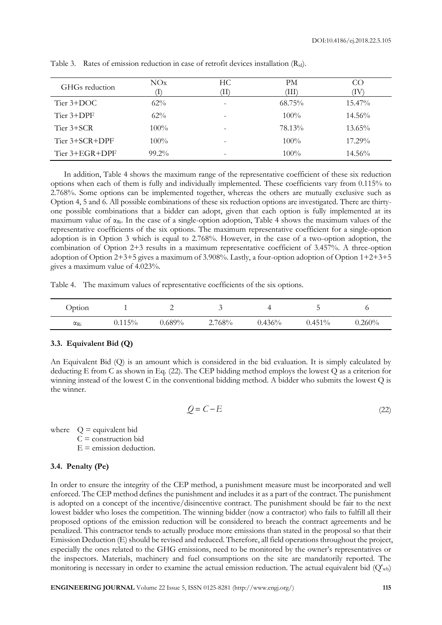| GHGs reduction | NOx      | HС<br>ΊI) | <b>PM</b><br>ŒШ | (IV       |
|----------------|----------|-----------|-----------------|-----------|
| Tier 3+DOC     | $62\%$   |           | 68.75%          | $15.47\%$ |
| Tier 3+DPF     | $62\%$   |           | $100\%$         | $14.56\%$ |
| Tier 3+SCR     | $100\%$  |           | 78.13%          | $13.65\%$ |
| Tier 3+SCR+DPF | $100\%$  |           | $100\%$         | $17.29\%$ |
| Tier 3+EGR+DPF | $99.2\%$ | -         | $100\%$         | $14.56\%$ |

Table 3. Rates of emission reduction in case of retrofit devices installation  $(R_{id})$ .

In addition, Table 4 shows the maximum range of the representative coefficient of these six reduction options when each of them is fully and individually implemented. These coefficients vary from 0.115% to 2.768%. Some options can be implemented together, whereas the others are mutually exclusive such as Option 4, 5 and 6. All possible combinations of these six reduction options are investigated. There are thirtyone possible combinations that a bidder can adopt, given that each option is fully implemented at its maximum value of αRi. In the case of a single-option adoption, Table 4 shows the maximum values of the representative coefficients of the six options. The maximum representative coefficient for a single-option adoption is in Option 3 which is equal to 2.768%. However, in the case of a two-option adoption, the combination of Option 2+3 results in a maximum representative coefficient of 3.457%. A three-option adoption of Option 2+3+5 gives a maximum of 3.908%. Lastly, a four-option adoption of Option 1+2+3+5 gives a maximum value of 4.023%.

Table 4. The maximum values of representative coefficients of the six options.

| Option |        |        |           |           |           |        |
|--------|--------|--------|-----------|-----------|-----------|--------|
| αri    | 0.115% | 0.689% | $2.768\%$ | $0.436\%$ | $0.451\%$ | 0.260% |

#### **3.3. Equivalent Bid (Q)**

An Equivalent Bid (Q) is an amount which is considered in the bid evaluation. It is simply calculated by deducting E from C as shown in Eq. (22). The CEP bidding method employs the lowest Q as a criterion for winning instead of the lowest C in the conventional bidding method. A bidder who submits the lowest Q is the winner.

$$
Q = C - E \tag{22}
$$

where  $Q =$  equivalent bid  $C =$  construction bid  $E =$  emission deduction.

## **3.4. Penalty (Pe)**

In order to ensure the integrity of the CEP method, a punishment measure must be incorporated and well enforced. The CEP method defines the punishment and includes it as a part of the contract. The punishment is adopted on a concept of the incentive/disincentive contract. The punishment should be fair to the next lowest bidder who loses the competition. The winning bidder (now a contractor) who fails to fulfill all their proposed options of the emission reduction will be considered to breach the contract agreements and be penalized. This contractor tends to actually produce more emissions than stated in the proposal so that their Emission Deduction (E) should be revised and reduced. Therefore, all field operations throughout the project, especially the ones related to the GHG emissions, need to be monitored by the owner's representatives or the inspectors. Materials, machinery and fuel consumptions on the site are mandatorily reported. The monitoring is necessary in order to examine the actual emission reduction. The actual equivalent bid  $(Q'_{wb})$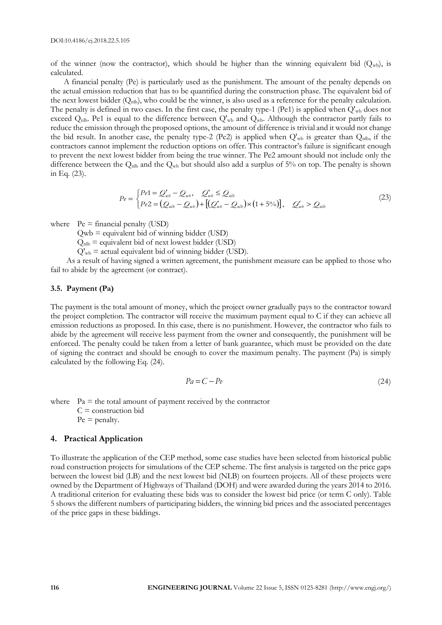of the winner (now the contractor), which should be higher than the winning equivalent bid  $(Q_{wb})$ , is calculated.

A financial penalty (Pe) is particularly used as the punishment. The amount of the penalty depends on the actual emission reduction that has to be quantified during the construction phase. The equivalent bid of the next lowest bidder  $(Q_{nlb})$ , who could be the winner, is also used as a reference for the penalty calculation. The penalty is defined in two cases. In the first case, the penalty type-1 (Pe1) is applied when  $Q'_{wb}$  does not exceed Q<sub>nlb</sub>. Pe1 is equal to the difference between  $Q'_{wb}$  and  $Q_{wb}$ . Although the contractor partly fails to reduce the emission through the proposed options, the amount of difference is trivial and it would not change the bid result. In another case, the penalty type-2 (Pe2) is applied when  $Q'_{wb}$  is greater than  $Q_{nlb}$ , if the contractors cannot implement the reduction options on offer. This contractor's failure is significant enough to prevent the next lowest bidder from being the true winner. The Pe2 amount should not include only the difference between the  $Q_{\rm nb}$  and the  $Q_{\rm wb}$  but should also add a surplus of 5% on top. The penalty is shown in Eq. (23).

$$
Pe = \begin{cases} Pe1 = Q'_{wb} - Q_{wb}, & Q'_{wb} \le Q_{nlb} \\ Pe2 = (Q_{nlb} - Q_{wb}) + [(Q'_{wb} - Q_{mb}) \times (1 + 5\%)], & Q'_{wb} > Q_{nlb} \end{cases}
$$
(23)

where  $Pe = \text{financial penalty (USD)}$ 

Qwb = equivalent bid of winning bidder (USD)

 $Q_{\rm nlb}$  = equivalent bid of next lowest bidder (USD)

 $Q'_{wb}$  = actual equivalent bid of winning bidder (USD).

As a result of having signed a written agreement, the punishment measure can be applied to those who fail to abide by the agreement (or contract).

#### **3.5. Payment (Pa)**

The payment is the total amount of money, which the project owner gradually pays to the contractor toward the project completion. The contractor will receive the maximum payment equal to C if they can achieve all emission reductions as proposed. In this case, there is no punishment. However, the contractor who fails to abide by the agreement will receive less payment from the owner and consequently, the punishment will be enforced. The penalty could be taken from a letter of bank guarantee, which must be provided on the date of signing the contract and should be enough to cover the maximum penalty. The payment (Pa) is simply calculated by the following Eq. (24).

$$
Pa = C - Pe \tag{24}
$$

where  $Pa =$  the total amount of payment received by the contractor  $C =$  construction bid  $Pe =$  penalty.

#### **4. Practical Application**

To illustrate the application of the CEP method, some case studies have been selected from historical public road construction projects for simulations of the CEP scheme. The first analysis is targeted on the price gaps between the lowest bid (LB) and the next lowest bid (NLB) on fourteen projects. All of these projects were owned by the Department of Highways of Thailand (DOH) and were awarded during the years 2014 to 2016. A traditional criterion for evaluating these bids was to consider the lowest bid price (or term C only). Table 5 shows the different numbers of participating bidders, the winning bid prices and the associated percentages of the price gaps in these biddings.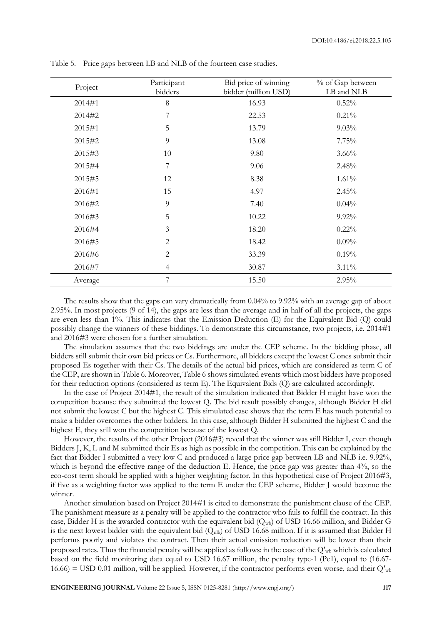| Project | Participant<br>bidders | Bid price of winning<br>bidder (million USD) | % of Gap between<br>LB and NLB |
|---------|------------------------|----------------------------------------------|--------------------------------|
| 2014#1  | 8                      | 16.93                                        | 0.52%                          |
| 2014#2  | 7                      | 22.53                                        | 0.21%                          |
| 2015#1  | 5                      | 13.79                                        | 9.03%                          |
| 2015#2  | 9                      | 13.08                                        | 7.75%                          |
| 2015#3  | 10                     | 9.80                                         | 3.66%                          |
| 2015#4  | 7                      | 9.06                                         | 2.48%                          |
| 2015#5  | 12                     | 8.38                                         | 1.61%                          |
| 2016#1  | 15                     | 4.97                                         | 2.45%                          |
| 2016#2  | 9                      | 7.40                                         | 0.04%                          |
| 2016#3  | 5                      | 10.22                                        | $9.92\%$                       |
| 2016#4  | 3                      | 18.20                                        | $0.22\%$                       |
| 2016#5  | $\overline{c}$         | 18.42                                        | 0.09%                          |
| 2016#6  | $\overline{2}$         | 33.39                                        | 0.19%                          |
| 2016#7  | 4                      | 30.87                                        | 3.11%                          |
| Average | $\overline{7}$         | 15.50                                        | 2.95%                          |

Table 5. Price gaps between LB and NLB of the fourteen case studies.

The results show that the gaps can vary dramatically from 0.04% to 9.92% with an average gap of about 2.95%. In most projects (9 of 14), the gaps are less than the average and in half of all the projects, the gaps are even less than 1%. This indicates that the Emission Deduction (E) for the Equivalent Bid (Q) could possibly change the winners of these biddings. To demonstrate this circumstance, two projects, i.e. 2014#1 and 2016#3 were chosen for a further simulation.

The simulation assumes that the two biddings are under the CEP scheme. In the bidding phase, all bidders still submit their own bid prices or Cs. Furthermore, all bidders except the lowest C ones submit their proposed Es together with their Cs. The details of the actual bid prices, which are considered as term C of the CEP, are shown in Table 6. Moreover, Table 6 shows simulated events which most bidders have proposed for their reduction options (considered as term E). The Equivalent Bids (Q) are calculated accordingly.

In the case of Project 2014#1, the result of the simulation indicated that Bidder H might have won the competition because they submitted the lowest Q. The bid result possibly changes, although Bidder H did not submit the lowest C but the highest C. This simulated case shows that the term E has much potential to make a bidder overcomes the other bidders. In this case, although Bidder H submitted the highest C and the highest E, they still won the competition because of the lowest Q.

However, the results of the other Project (2016#3) reveal that the winner was still Bidder I, even though Bidders J, K, L and M submitted their Es as high as possible in the competition. This can be explained by the fact that Bidder I submitted a very low C and produced a large price gap between LB and NLB i.e. 9.92%, which is beyond the effective range of the deduction E. Hence, the price gap was greater than 4%, so the eco-cost term should be applied with a higher weighting factor. In this hypothetical case of Project 2016#3, if five as a weighting factor was applied to the term E under the CEP scheme, Bidder J would become the winner.

Another simulation based on Project 2014#1 is cited to demonstrate the punishment clause of the CEP. The punishment measure as a penalty will be applied to the contractor who fails to fulfill the contract. In this case, Bidder H is the awarded contractor with the equivalent bid  $(Q_{wb})$  of USD 16.66 million, and Bidder G is the next lowest bidder with the equivalent bid  $(Q_{nlb})$  of USD 16.68 million. If it is assumed that Bidder H performs poorly and violates the contract. Then their actual emission reduction will be lower than their proposed rates. Thus the financial penalty will be applied as follows: in the case of the Q'<sub>wb</sub> which is calculated based on the field monitoring data equal to USD 16.67 million, the penalty type-1 (Pe1), equal to (16.67-  $16.66$ ) = USD 0.01 million, will be applied. However, if the contractor performs even worse, and their  $Q'_{wb}$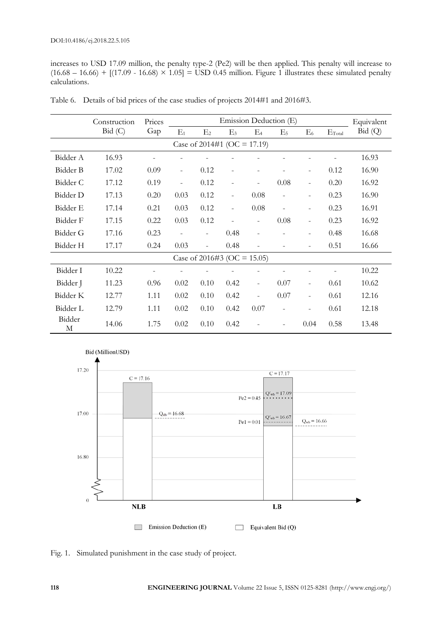increases to USD 17.09 million, the penalty type-2 (Pe2) will be then applied. This penalty will increase to  $(16.68 - 16.66) + [(17.09 - 16.68) \times 1.05] =$  USD 0.45 million. Figure 1 illustrates these simulated penalty calculations.

|             | Emission Deduction (E)<br>Prices<br>Construction |      |                          | Equivalent               |                          |                          |                          |                          |                 |         |
|-------------|--------------------------------------------------|------|--------------------------|--------------------------|--------------------------|--------------------------|--------------------------|--------------------------|-----------------|---------|
|             | Bid (C)                                          | Gap  | $E_1$                    | E <sub>2</sub>           | E <sub>3</sub>           | $E_4$                    | $E_5$                    | $E_6$                    | $E_{\rm Total}$ | Bid (Q) |
|             | Case of 2014#1 (OC = 17.19)                      |      |                          |                          |                          |                          |                          |                          |                 |         |
| Bidder A    | 16.93                                            |      |                          |                          |                          |                          |                          |                          |                 | 16.93   |
| Bidder B    | 17.02                                            | 0.09 | $\qquad \qquad -$        | 0.12                     |                          | $\overline{\phantom{0}}$ |                          |                          | 0.12            | 16.90   |
| Bidder C    | 17.12                                            | 0.19 | $\overline{\phantom{a}}$ | 0.12                     |                          | $\overline{\phantom{0}}$ | 0.08                     | $\overline{\phantom{a}}$ | 0.20            | 16.92   |
| Bidder D    | 17.13                                            | 0.20 | 0.03                     | 0.12                     | $\overline{\phantom{a}}$ | 0.08                     | $\overline{\phantom{a}}$ | $\overline{\phantom{a}}$ | 0.23            | 16.90   |
| Bidder E    | 17.14                                            | 0.21 | 0.03                     | 0.12                     |                          | 0.08                     |                          | $\overline{\phantom{0}}$ | 0.23            | 16.91   |
| Bidder F    | 17.15                                            | 0.22 | 0.03                     | 0.12                     |                          | $\overline{a}$           | 0.08                     | $\overline{\phantom{a}}$ | 0.23            | 16.92   |
| Bidder G    | 17.16                                            | 0.23 |                          | $\overline{\phantom{0}}$ | 0.48                     | $\overline{\phantom{0}}$ |                          | $\overline{\phantom{0}}$ | 0.48            | 16.68   |
| Bidder H    | 17.17                                            | 0.24 | 0.03                     | $\overline{\phantom{a}}$ | 0.48                     | $\overline{a}$           |                          |                          | 0.51            | 16.66   |
|             | Case of 2016#3 (OC = 15.05)                      |      |                          |                          |                          |                          |                          |                          |                 |         |
| Bidder I    | 10.22                                            |      |                          |                          |                          |                          |                          |                          |                 | 10.22   |
| Bidder J    | 11.23                                            | 0.96 | 0.02                     | 0.10                     | 0.42                     | $\overline{\phantom{a}}$ | 0.07                     | $\overline{\phantom{a}}$ | 0.61            | 10.62   |
| Bidder K    | 12.77                                            | 1.11 | 0.02                     | 0.10                     | 0.42                     | $\overline{a}$           | 0.07                     | $\overline{\phantom{a}}$ | 0.61            | 12.16   |
| Bidder L    | 12.79                                            | 1.11 | 0.02                     | 0.10                     | 0.42                     | 0.07                     | $\overline{\phantom{a}}$ | $\overline{\phantom{0}}$ | 0.61            | 12.18   |
| Bidder<br>М | 14.06                                            | 1.75 | 0.02                     | 0.10                     | 0.42                     |                          |                          | 0.04                     | 0.58            | 13.48   |

Table 6. Details of bid prices of the case studies of projects 2014#1 and 2016#3.



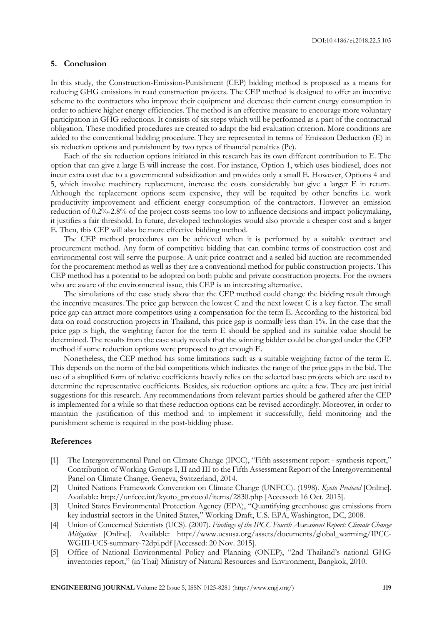#### **5. Conclusion**

In this study, the Construction-Emission-Punishment (CEP) bidding method is proposed as a means for reducing GHG emissions in road construction projects. The CEP method is designed to offer an incentive scheme to the contractors who improve their equipment and decrease their current energy consumption in order to achieve higher energy efficiencies. The method is an effective measure to encourage more voluntary participation in GHG reductions. It consists of six steps which will be performed as a part of the contractual obligation. These modified procedures are created to adapt the bid evaluation criterion. More conditions are added to the conventional bidding procedure. They are represented in terms of Emission Deduction (E) in six reduction options and punishment by two types of financial penalties (Pe).

Each of the six reduction options initiated in this research has its own different contribution to E. The option that can give a large E will increase the cost. For instance, Option 1, which uses biodiesel, does not incur extra cost due to a governmental subsidization and provides only a small E. However, Options 4 and 5, which involve machinery replacement, increase the costs considerably but give a larger E in return. Although the replacement options seem expensive, they will be requited by other benefits i.e. work productivity improvement and efficient energy consumption of the contractors. However an emission reduction of 0.2%-2.8% of the project costs seems too low to influence decisions and impact policymaking, it justifies a fair threshold. In future, developed technologies would also provide a cheaper cost and a larger E. Then, this CEP will also be more effective bidding method.

The CEP method procedures can be achieved when it is performed by a suitable contract and procurement method. Any form of competitive bidding that can combine terms of construction cost and environmental cost will serve the purpose. A unit-price contract and a sealed bid auction are recommended for the procurement method as well as they are a conventional method for public construction projects. This CEP method has a potential to be adopted on both public and private construction projects. For the owners who are aware of the environmental issue, this CEP is an interesting alternative.

The simulations of the case study show that the CEP method could change the bidding result through the incentive measures. The price gap between the lowest C and the next lowest C is a key factor. The small price gap can attract more competitors using a compensation for the term E. According to the historical bid data on road construction projects in Thailand, this price gap is normally less than 1%. In the case that the price gap is high, the weighting factor for the term E should be applied and its suitable value should be determined. The results from the case study reveals that the winning bidder could be changed under the CEP method if some reduction options were proposed to get enough E.

Nonetheless, the CEP method has some limitations such as a suitable weighting factor of the term E. This depends on the norm of the bid competitions which indicates the range of the price gaps in the bid. The use of a simplified form of relative coefficients heavily relies on the selected base projects which are used to determine the representative coefficients. Besides, six reduction options are quite a few. They are just initial suggestions for this research. Any recommendations from relevant parties should be gathered after the CEP is implemented for a while so that these reduction options can be revised accordingly. Moreover, in order to maintain the justification of this method and to implement it successfully, field monitoring and the punishment scheme is required in the post-bidding phase.

## **References**

- [1] The Intergovernmental Panel on Climate Change (IPCC), "Fifth assessment report synthesis report," Contribution of Working Groups I, II and III to the Fifth Assessment Report of the Intergovernmental Panel on Climate Change, Geneva, Switzerland, 2014.
- [2] United Nations Framework Convention on Climate Change (UNFCC). (1998). *Kyoto Protocol* [Online]. Available: http://unfccc.int/kyoto\_protocol/items/2830.php [Accessed: 16 Oct. 2015].
- [3] United States Environmental Protection Agency (EPA), "Quantifying greenhouse gas emissions from key industrial sectors in the United States," Working Draft, U.S. EPA, Washington, DC, 2008.
- [4] Union of Concerned Scientists (UCS). (2007). *Findings of the IPCC Fourth Assessment Report: Climate Change Mitigation* [Online]*.* Available: http://www.ucsusa.org/assets/documents/global\_warming/IPCC-WGIII-UCS-summary-72dpi.pdf [Accessed: 20 Nov. 2015].
- [5] Office of National Environmental Policy and Planning (ONEP), "2nd Thailand's national GHG inventories report," (in Thai) Ministry of Natural Resources and Environment, Bangkok, 2010.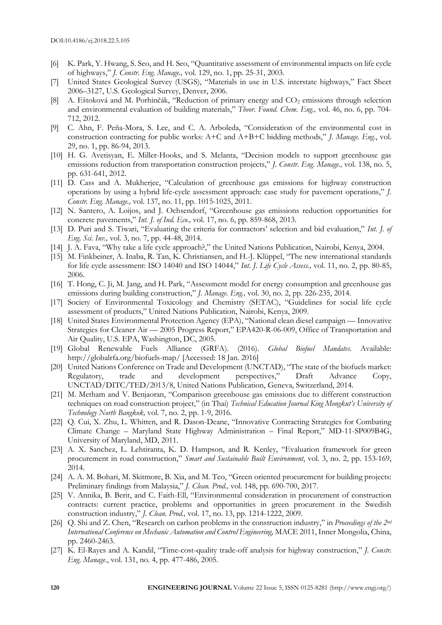- [6] K. Park, Y. Hwang, S. Seo, and H. Seo, "Quantitative assessment of environmental impacts on life cycle of highways," *J. Constr. Eng. Manage.,* vol. 129, no. 1, pp. 25-31, 2003.
- [7] United States Geological Survey (USGS), "Materials in use in U.S. interstate highways," Fact Sheet 2006–3127, U.S. Geological Survey, Denver, 2006.
- [8] A. Eštoková and M. Porhinčák, "Reduction of primary energy and CO<sub>2</sub> emissions through selection and environmental evaluation of building materials," *Theor. Found. Chem. Eng.,* vol. 46, no. 6, pp. 704- 712, 2012.
- [9] C. Ahn, F. Peña-Mora, S. Lee, and C. A. Arboleda, "Consideration of the environmental cost in construction contracting for public works: A+C and A+B+C bidding methods," *J. Manage. Eng*., vol. 29, no. 1, pp. 86-94, 2013.
- [10] H. G. Avetisyan, E. Miller-Hooks, and S. Melanta, "Decision models to support greenhouse gas emissions reduction from transportation construction projects," *J. Constr. Eng. Manage.,* vol. 138, no. 5, pp. 631-641, 2012.
- [11] D. Cass and A. Mukherjee, "Calculation of greenhouse gas emissions for highway construction operations by using a hybrid life-cycle assessment approach: case study for pavement operations," *J. Constr. Eng. Manage.,* vol. 137, no. 11, pp. 1015-1025, 2011.
- [12] N. Santero, A. Loijos, and J. Ochsendorf, "Greenhouse gas emissions reduction opportunities for concrete pavements," *Int. J. of Ind. Eco.,* vol. 17, no. 6, pp. 859-868, 2013.
- [13] D. Puri and S. Tiwari, "Evaluating the criteria for contractors' selection and bid evaluation," *Int. J. of Eng. Sci. Inv.,* vol. 3, no. 7, pp. 44-48, 2014.
- [14] J. A. Fava, "Why take a life cycle approach?," the United Nations Publication, Nairobi, Kenya, 2004.
- [15] M. Finkbeiner, A. Inaba, R. Tan, K. Christiansen, and H.-J. Klüppel, "The new international standards for life cycle assessment: ISO 14040 and ISO 14044," *Int. J. Life Cycle Assess.,* vol. 11, no. 2, pp. 80-85, 2006.
- [16] T. Hong, C. Ji, M. Jang, and H. Park, "Assessment model for energy consumption and greenhouse gas emissions during building construction," *J. Manage. Eng.,* vol. 30, no. 2, pp. 226-235, 2014.
- [17] Society of Environmental Toxicology and Chemistry (SETAC), "Guidelines for social life cycle assessment of products," United Nations Publication, Nairobi, Kenya, 2009.
- [18] United States Environmental Protection Agency (EPA), "National clean diesel campaign Innovative Strategies for Cleaner Air — 2005 Progress Report," EPA420-R-06-009, Office of Transportation and Air Quality, U.S. EPA, Washington, DC, 2005.
- [19] Global Renewable Fuels Alliance (GRFA). (2016). *Global Biofuel Mandates.* Available: http://globalrfa.org/biofuels-map/ [Accessed: 18 Jan. 2016]
- [20] United Nations Conference on Trade and Development (UNCTAD), "The state of the biofuels market: Regulatory, trade and development perspectives," Draft Advance Copy, UNCTAD/DITC/TED/2013/8, United Nations Publication, Geneva, Switzerland, 2014.
- [21] M. Metham and V. Benjaoran, "Comparison greenhouse gas emissions due to different construction techniques on road construction project," (in Thai) *Technical Education Journal King Mongkut's University of Technology North Bangkok,* vol. 7, no. 2, pp. 1-9, 2016.
- [22] Q. Cui, X. Zhu, L. Whitten, and R. Dason-Deane, "Innovative Contracting Strategies for Combating Climate Change – Maryland State Highway Administration – Final Report," MD-11-SP009B4G, University of Maryland, MD, 2011.
- [23] A. X. Sanchez, L. Lehtiranta, K. D. Hampson, and R. Kenley, "Evaluation framework for green procurement in road construction," *Smart and Sustainable Built Environment*, vol. 3, no. 2, pp. 153-169, 2014.
- [24] A. A. M. Bohari, M. Skitmore, B. Xia, and M. Teo, "Green oriented procurement for building projects: Preliminary findings from Malaysia," *J. Clean. Prod.,* vol. 148, pp. 690-700, 2017.
- [25] V. Annika, B. Berit, and C. Faith-Ell, "Environmental consideration in procurement of construction contracts: current practice, problems and opportunities in green procurement in the Swedish construction industry," *J. Clean. Prod.,* vol. 17, no. 13, pp. 1214-1222, 2009.
- [26] Q. Shi and Z. Chen, "Research on carbon problems in the construction industry," in *Proceedings of the 2nd International Conference on Mechanic Automation and Control Engineering,* MACE 2011, Inner Mongolia, China, pp. 2460-2463.
- [27] K. El-Rayes and A. Kandil, "Time-cost-quality trade-off analysis for highway construction," *J. Constr. Eng. Manage.*, vol. 131, no. 4, pp. 477-486, 2005.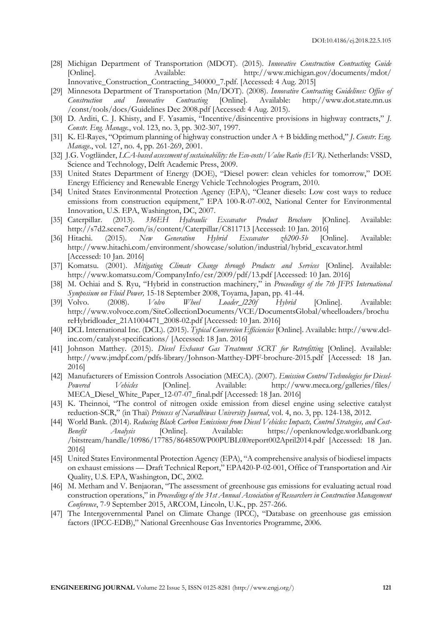- [28] Michigan Department of Transportation (MDOT). (2015). *Innovative Construction Contracting Guide*  [Online]. Available: http://www.michigan.gov/documents/mdot/ Innovative\_Construction\_Contracting\_340000\_7.pdf. [Accessed: 4 Aug. 2015]
- [29] Minnesota Department of Transportation (Mn/DOT). (2008). *Innovative Contracting Guidelines: Office of Construction and Innovative Contracting* [Online]. Available: http://www.dot.state.mn.us /const/tools/docs/Guidelines Dec 2008.pdf [Accessed: 4 Aug. 2015).
- [30] D. Arditi, C. J. Khisty, and F. Yasamis, "Incentive/disincentive provisions in highway contracts," *J. Constr. Eng. Manage.*, vol. 123, no. 3, pp. 302-307, 1997.
- [31] K. El-Rayes, "Optimum planning of highway construction under A + B bidding method," *J. Constr. Eng. Manage.*, vol. 127, no. 4, pp. 261-269, 2001.
- [32] J.G. Vogtländer, *LCA-based assessment of sustainability: the Eco-costs/Value Ratio (EVR)*. Netherlands: VSSD, Science and Technology, Delft Academic Press, 2009.
- [33] United States Department of Energy (DOE), "Diesel power: clean vehicles for tomorrow," DOE Energy Efficiency and Renewable Energy Vehicle Technologies Program, 2010.
- [34] United States Environmental Protection Agency (EPA), "Cleaner diesels: Low cost ways to reduce emissions from construction equipment," EPA 100-R-07-002, National Center for Environmental Innovation, U.S. EPA, Washington, DC, 2007.
- [35] Caterpillar. (2013). *336EH Hydraulic Excavator Product Brochure* [Online]. Available: http://s7d2.scene7.com/is/content/Caterpillar/C811713 [Accessed: 10 Jan. 2016]
- [36] Hitachi. (2015). *New Generation Hybrid Excavator zh200-5b* [Online]. Available: http://www.hitachi.com/environment/showcase/solution/industrial/hybrid\_excavator.html [Accessed: 10 Jan. 2016]
- [37] Komatsu. (2001). *Mitigating Climate Change through Products and Services* [Online]. Available: http://www.komatsu.com/CompanyInfo/csr/2009/pdf/13.pdf [Accessed: 10 Jan. 2016]
- [38] M. Ochiai and S. Ryu, "Hybrid in construction machinery," in *Proceedings of the 7th JFPS International Symposium on Fluid Power,* 15-18 September 2008, Toyama, Japan, pp. 41-44.
- [39] Volvo. (2008). *Volvo Wheel Loader\_l220f Hybrid* [Online]. Available: http://www.volvoce.com/SiteCollectionDocuments/VCE/DocumentsGlobal/wheelloaders/brochu reHybridloader\_21A1004471\_2008-02.pdf [Accessed: 10 Jan. 2016]
- [40] DCL International Inc. (DCL). (2015). *Typical Conversion Efficiencies* [Online]. Available: http://www.dclinc.com/catalyst-specifications/ [Accessed: 18 Jan. 2016]
- [41] Johnson Matthey. (2015). *Diesel Exhaust Gas Treatment SCRT for Retrofitting* [Online]. Available: http://www.jmdpf.com/pdfs-library/Johnson-Matthey-DPF-brochure-2015.pdf [Accessed: 18 Jan. 2016]
- [42] Manufacturers of Emission Controls Association (MECA). (2007). *Emission Control Technologies for Diesel-Powered Vehicles* [Online]. Available: http://www.meca.org/galleries/files/ MECA\_Diesel\_White\_Paper\_12-07-07\_final.pdf [Accessed: 18 Jan. 2016]
- [43] K. Theinnoi, "The control of nitrogen oxide emission from diesel engine using selective catalyst reduction-SCR," (in Thai) *Princess of Naradhiwas University Journal*, vol. 4, no. 3, pp. 124-138, 2012.
- [44] World Bank. (2014). *Reducing Black Carbon Emissions from Diesel Vehicles: Impacts, Control Strategies, and Cost-Benefit Analysis* [Online]. Available: https://openknowledge.worldbank.org /bitstream/handle/10986/17785/864850WP00PUBL0l0report002April2014.pdf [Accessed: 18 Jan. 2016]
- [45] United States Environmental Protection Agency (EPA), "A comprehensive analysis of biodiesel impacts on exhaust emissions — Draft Technical Report," EPA420-P-02-001, Office of Transportation and Air Quality, U.S. EPA, Washington, DC, 2002.
- [46] M. Metham and V. Benjaoran, "The assessment of greenhouse gas emissions for evaluating actual road construction operations," in *Proceedings of the 31st Annual Association of Researchers in Construction Management Conference*, 7-9 September 2015, ARCOM, Lincoln, U.K., pp. 257-266.
- [47] The Intergovernmental Panel on Climate Change (IPCC), "Database on greenhouse gas emission factors (IPCC-EDB)," National Greenhouse Gas Inventories Programme, 2006.